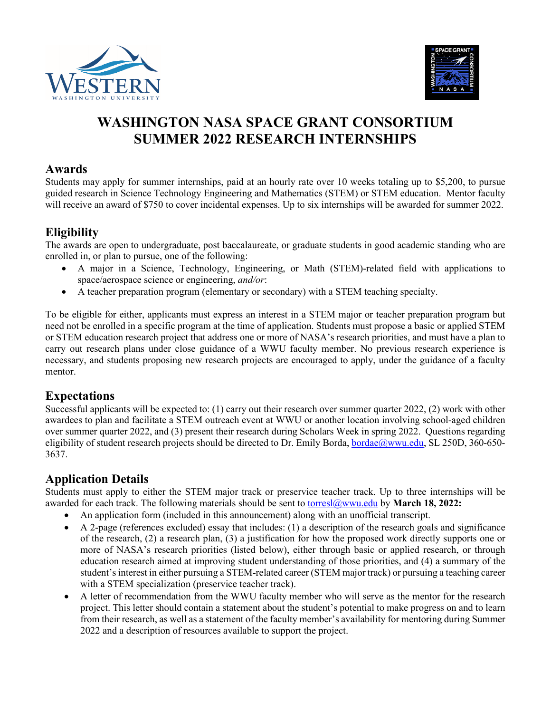



# **WASHINGTON NASA SPACE GRANT CONSORTIUM SUMMER 2022 RESEARCH INTERNSHIPS**

#### **Awards**

Students may apply for summer internships, paid at an hourly rate over 10 weeks totaling up to \$5,200, to pursue guided research in Science Technology Engineering and Mathematics (STEM) or STEM education. Mentor faculty will receive an award of \$750 to cover incidental expenses. Up to six internships will be awarded for summer 2022.

# **Eligibility**

The awards are open to undergraduate, post baccalaureate, or graduate students in good academic standing who are enrolled in, or plan to pursue, one of the following:

- A major in a Science, Technology, Engineering, or Math (STEM)-related field with applications to space/aerospace science or engineering, *and/or*:
- A teacher preparation program (elementary or secondary) with a STEM teaching specialty.

To be eligible for either, applicants must express an interest in a STEM major or teacher preparation program but need not be enrolled in a specific program at the time of application. Students must propose a basic or applied STEM or STEM education research project that address one or more of NASA's research priorities, and must have a plan to carry out research plans under close guidance of a WWU faculty member. No previous research experience is necessary, and students proposing new research projects are encouraged to apply, under the guidance of a faculty mentor.

## **Expectations**

Successful applicants will be expected to: (1) carry out their research over summer quarter 2022, (2) work with other awardees to plan and facilitate a STEM outreach event at WWU or another location involving school-aged children over summer quarter 2022, and (3) present their research during Scholars Week in spring 2022. Questions regarding eligibility of student research projects should be directed to Dr. Emily Borda, [bordae@wwu.edu,](mailto:Emily.Borda@wwu.edu) SL 250D, 360-650-3637.

## **Application Details**

Students must apply to either the STEM major track or preservice teacher track. Up to three internships will be awarded for each track. The following materials should be sent to [torresl@wwu.edu](mailto:torresl@wwu.edu) by **March 18, 2022:**

- An application form (included in this announcement) along with an unofficial transcript.
- A 2-page (references excluded) essay that includes: (1) a description of the research goals and significance of the research, (2) a research plan, (3) a justification for how the proposed work directly supports one or more of NASA's research priorities (listed below), either through basic or applied research, or through education research aimed at improving student understanding of those priorities, and (4) a summary of the student's interest in either pursuing a STEM-related career (STEM major track) or pursuing a teaching career with a STEM specialization (preservice teacher track).
- A letter of recommendation from the WWU faculty member who will serve as the mentor for the research project. This letter should contain a statement about the student's potential to make progress on and to learn from their research, as well as a statement of the faculty member's availability for mentoring during Summer 2022 and a description of resources available to support the project.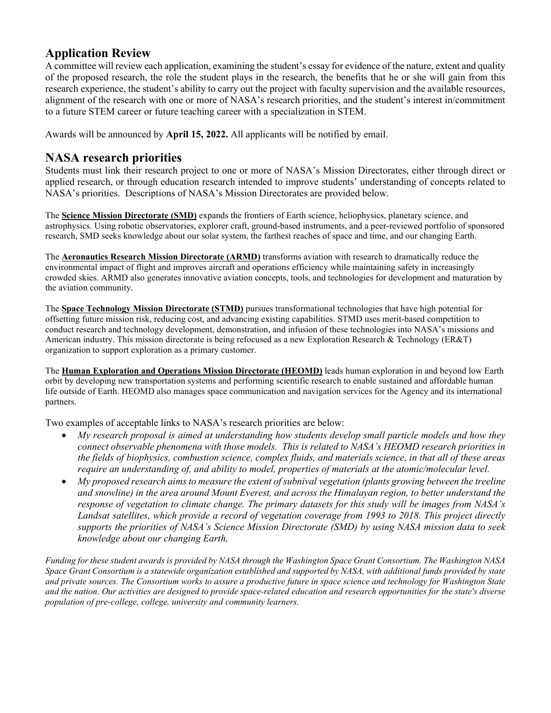## **Application Review**

A committee will review each application, examining the student's essay for evidence of the nature, extent and quality of the proposed research, the role the student plays in the research, the benefits that he or she will gain from this research experience, the student's ability to carry out the project with faculty supervision and the available resources, alignment of the research with one or more of NASA's research priorities, and the student's interest in/commitment to a future STEM career or future teaching career with a specialization in STEM.

Awards will be announced by **April 15, 2022.** All applicants will be notified by email.

## **NASA research priorities**

Students must link their research project to one or more of NASA's Mission Directorates, either through direct or applied research, or through education research intended to improve students' understanding of concepts related to NASA's priorities. Descriptions of NASA's Mission Directorates are provided below.

The **Science Mission Directorate (SMD)** expands the frontiers of Earth science, heliophysics, planetary science, and astrophysics. Using robotic observatories, explorer craft, ground-based instruments, and a peer-reviewed portfolio of sponsored research, SMD seeks knowledge about our solar system, the farthest reaches of space and time, and our changing Earth.

The **Aeronautics Research Mission Directorate (ARMD)** transforms aviation with research to dramatically reduce the environmental impact of flight and improves aircraft and operations efficiency while maintaining safety in increasingly crowded skies. ARMD also generates innovative aviation concepts, tools, and technologies for development and maturation by the aviation community.

The **Space Technology Mission Directorate (STMD)** pursues transformational technologies that have high potential for offsetting future mission risk, reducing cost, and advancing existing capabilities. STMD uses merit-based competition to conduct research and technology development, demonstration, and infusion of these technologies into NASA's missions and American industry. This mission directorate is being refocused as a new Exploration Research & Technology (ER&T) organization to support exploration as a primary customer.

The **Human Exploration and Operations Mission Directorate (HEOMD)** leads human exploration in and beyond low Earth orbit by developing new transportation systems and performing scientific research to enable sustained and affordable human life outside of Earth. HEOMD also manages space communication and navigation services for the Agency and its international partners.

Two examples of acceptable links to NASA's research priorities are below:

- *My research proposal is aimed at understanding how students develop small particle models and how they connect observable phenomena with those models. This is related to NASA's HEOMD research priorities in the fields of biophysics, combustion science, complex fluids, and materials science, in that all of these areas require an understanding of, and ability to model, properties of materials at the atomic/molecular level.*
- *My proposed research aims to measure the extent of subnival vegetation (plants growing between the treeline and snowline) in the area around Mount Everest, and across the Himalayan region, to better understand the response of vegetation to climate change. The primary datasets for this study will be images from NASA's Landsat satellites, which provide a record of vegetation coverage from 1993 to 2018. This project directly supports the priorities of NASA's Science Mission Directorate (SMD) by using NASA mission data to seek knowledge about our changing Earth,*

*Funding for these student awards is provided by NASA through the Washington Space Grant Consortium. The Washington NASA Space Grant Consortium is a statewide organization established and supported by NASA, with additional funds provided by state and private sources. The Consortium works to assure a productive future in space science and technology for Washington State and the nation. Our activities are designed to provide space-related education and research opportunities for the state's diverse population of pre-college, college, university and community learners.*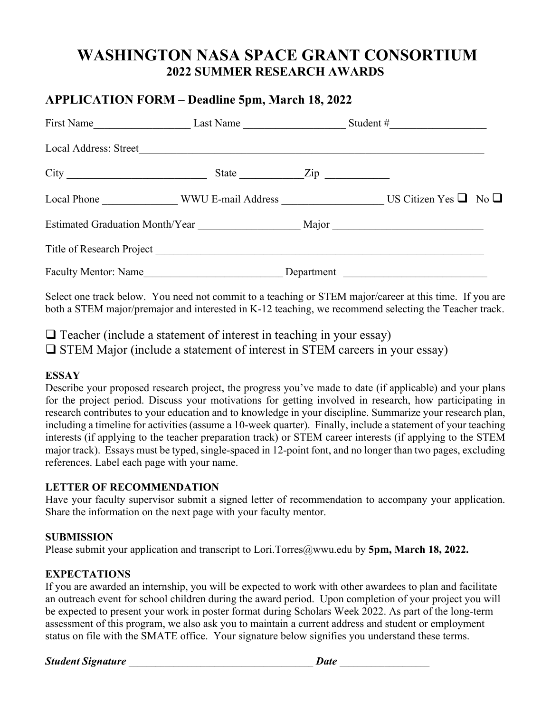# **WASHINGTON NASA SPACE GRANT CONSORTIUM 2022 SUMMER RESEARCH AWARDS**

## **APPLICATION FORM – Deadline 5pm, March 18, 2022**

| First Name                                  | Last Name                      |            |                                                                                                                      |
|---------------------------------------------|--------------------------------|------------|----------------------------------------------------------------------------------------------------------------------|
| Local Address: Street                       |                                |            |                                                                                                                      |
| City                                        | State Zip                      |            |                                                                                                                      |
|                                             | Local Phone WWU E-mail Address |            | US Citizen Yes $\Box$ No $\Box$                                                                                      |
| Estimated Graduation Month/Year Major Major |                                |            |                                                                                                                      |
|                                             |                                |            |                                                                                                                      |
| Faculty Mentor: Name                        |                                | Department | <u> 2008 - Johann John Stone, mars and de la provincia de la provincia de la provincia de la provincia de la pro</u> |

Select one track below. You need not commit to a teaching or STEM major/career at this time. If you are both a STEM major/premajor and interested in K-12 teaching, we recommend selecting the Teacher track.

 $\Box$  Teacher (include a statement of interest in teaching in your essay)  $\square$  STEM Major (include a statement of interest in STEM careers in your essay)

#### **ESSAY**

Describe your proposed research project, the progress you've made to date (if applicable) and your plans for the project period. Discuss your motivations for getting involved in research, how participating in research contributes to your education and to knowledge in your discipline. Summarize your research plan, including a timeline for activities (assume a 10-week quarter). Finally, include a statement of your teaching interests (if applying to the teacher preparation track) or STEM career interests (if applying to the STEM major track). Essays must be typed, single-spaced in 12-point font, and no longer than two pages, excluding references. Label each page with your name.

#### **LETTER OF RECOMMENDATION**

Have your faculty supervisor submit a signed letter of recommendation to accompany your application. Share the information on the next page with your faculty mentor.

#### **SUBMISSION**

Please submit your application and transcript to Lori.Torres@wwu.edu by **5pm, March 18, 2022.**

## **EXPECTATIONS**

If you are awarded an internship, you will be expected to work with other awardees to plan and facilitate an outreach event for school children during the award period. Upon completion of your project you will be expected to present your work in poster format during Scholars Week 2022. As part of the long-term assessment of this program, we also ask you to maintain a current address and student or employment status on file with the SMATE office. Your signature below signifies you understand these terms.

*Student Signature* \_\_\_\_\_\_\_\_\_\_\_\_\_\_\_\_\_\_\_\_\_\_\_\_\_\_\_\_\_\_\_\_\_\_\_\_\_\_\_\_\_ *Date* \_\_\_\_\_\_\_\_\_\_\_\_\_\_\_\_\_\_\_\_